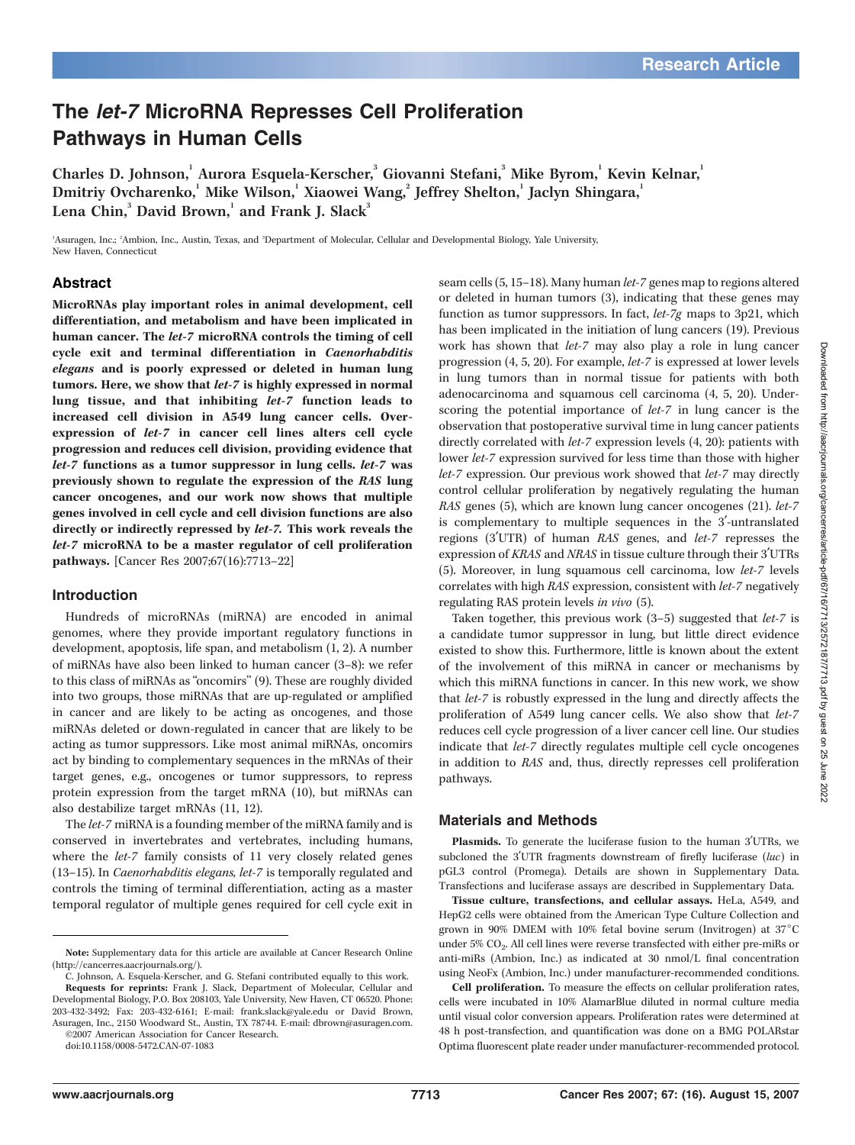# The let-7 MicroRNA Represses Cell Proliferation Pathways in Human Cells

Charles D. Johnson, Aurora Esquela-Kerscher, Giovanni Stefani, Mike Byrom, Kevin Kelnar, Dmitriy Ovcharenko, $^{\rm l}$  Mike Wilson, $^{\rm l}$  Xiaowei Wang, $^{\rm 2}$  Jeffrey Shelton, $^{\rm l}$  Jaclyn Shingara, $^{\rm l}$ Lena Chin, $^3$  David Brown, $^1$  and Frank J. Slack $^3$ 

<sup>1</sup>Asuragen, Inc.; <sup>2</sup>Ambion, Inc., Austin, Texas, and <sup>3</sup>Department of Molecular, Cellular and Developmental Biology, Yale University, New Haven, Connecticut

# Abstract

MicroRNAs play important roles in animal development, cell differentiation, and metabolism and have been implicated in human cancer. The let-7 microRNA controls the timing of cell cycle exit and terminal differentiation in Caenorhabditis elegans and is poorly expressed or deleted in human lung tumors. Here, we show that let-7 is highly expressed in normal lung tissue, and that inhibiting let-7 function leads to increased cell division in A549 lung cancer cells. Overexpression of let-7 in cancer cell lines alters cell cycle progression and reduces cell division, providing evidence that let-7 functions as a tumor suppressor in lung cells. let-7 was previously shown to regulate the expression of the RAS lung cancer oncogenes, and our work now shows that multiple genes involved in cell cycle and cell division functions are also directly or indirectly repressed by let-7. This work reveals the let-7 microRNA to be a master regulator of cell proliferation pathways. [Cancer Res 2007;67(16):7713–22]

# Introduction

Hundreds of microRNAs (miRNA) are encoded in animal genomes, where they provide important regulatory functions in development, apoptosis, life span, and metabolism (1, 2). A number of miRNAs have also been linked to human cancer (3–8): we refer to this class of miRNAs as "oncomirs" (9). These are roughly divided into two groups, those miRNAs that are up-regulated or amplified in cancer and are likely to be acting as oncogenes, and those miRNAs deleted or down-regulated in cancer that are likely to be acting as tumor suppressors. Like most animal miRNAs, oncomirs act by binding to complementary sequences in the mRNAs of their target genes, e.g., oncogenes or tumor suppressors, to repress protein expression from the target mRNA (10), but miRNAs can also destabilize target mRNAs (11, 12).

The let-7 miRNA is a founding member of the miRNA family and is conserved in invertebrates and vertebrates, including humans, where the let-7 family consists of 11 very closely related genes (13–15). In Caenorhabditis elegans, let-7 is temporally regulated and controls the timing of terminal differentiation, acting as a master temporal regulator of multiple genes required for cell cycle exit in

©2007 American Association for Cancer Research. doi:10.1158/0008-5472.CAN-07-1083

seam cells (5, 15–18). Many human let-7 genes map to regions altered or deleted in human tumors (3), indicating that these genes may function as tumor suppressors. In fact, let-7g maps to 3p21, which has been implicated in the initiation of lung cancers (19). Previous work has shown that *let-7* may also play a role in lung cancer progression (4, 5, 20). For example, let-7 is expressed at lower levels in lung tumors than in normal tissue for patients with both adenocarcinoma and squamous cell carcinoma (4, 5, 20). Underscoring the potential importance of let-7 in lung cancer is the observation that postoperative survival time in lung cancer patients directly correlated with let-7 expression levels (4, 20): patients with lower let-7 expression survived for less time than those with higher let-7 expression. Our previous work showed that let-7 may directly control cellular proliferation by negatively regulating the human RAS genes (5), which are known lung cancer oncogenes (21). let-7 is complementary to multiple sequences in the 3'-untranslated regions (3'UTR) of human RAS genes, and let-7 represses the expression of KRAS and NRAS in tissue culture through their 3'UTRs (5). Moreover, in lung squamous cell carcinoma, low let-7 levels correlates with high RAS expression, consistent with let-7 negatively regulating RAS protein levels in vivo (5).

Taken together, this previous work  $(3-5)$  suggested that *let-7* is a candidate tumor suppressor in lung, but little direct evidence existed to show this. Furthermore, little is known about the extent of the involvement of this miRNA in cancer or mechanisms by which this miRNA functions in cancer. In this new work, we show that let-7 is robustly expressed in the lung and directly affects the proliferation of A549 lung cancer cells. We also show that let-7 reduces cell cycle progression of a liver cancer cell line. Our studies indicate that let-7 directly regulates multiple cell cycle oncogenes in addition to RAS and, thus, directly represses cell proliferation pathways.

# Materials and Methods

Plasmids. To generate the luciferase fusion to the human 3'UTRs, we subcloned the 3'UTR fragments downstream of firefly luciferase  $(luc)$  in pGL3 control (Promega). Details are shown in Supplementary Data. Transfections and luciferase assays are described in Supplementary Data.

Tissue culture, transfections, and cellular assays. HeLa, A549, and HepG2 cells were obtained from the American Type Culture Collection and grown in 90% DMEM with 10% fetal bovine serum (Invitrogen) at  $37^{\circ}$ C under 5%  $CO<sub>2</sub>$ . All cell lines were reverse transfected with either pre-miRs or anti-miRs (Ambion, Inc.) as indicated at 30 nmol/L final concentration using NeoFx (Ambion, Inc.) under manufacturer-recommended conditions.

Cell proliferation. To measure the effects on cellular proliferation rates, cells were incubated in 10% AlamarBlue diluted in normal culture media until visual color conversion appears. Proliferation rates were determined at 48 h post-transfection, and quantification was done on a BMG POLARstar Optima fluorescent plate reader under manufacturer-recommended protocol.

Note: Supplementary data for this article are available at Cancer Research Online (http://cancerres.aacrjournals.org/).

C. Johnson, A. Esquela-Kerscher, and G. Stefani contributed equally to this work. Requests for reprints: Frank J. Slack, Department of Molecular, Cellular and Developmental Biology, P.O. Box 208103, Yale University, New Haven, CT 06520. Phone: 203-432-3492; Fax: 203-432-6161; E-mail: frank.slack@yale.edu or David Brown, Asuragen, Inc., 2150 Woodward St., Austin, TX 78744. E-mail: dbrown@asuragen.com.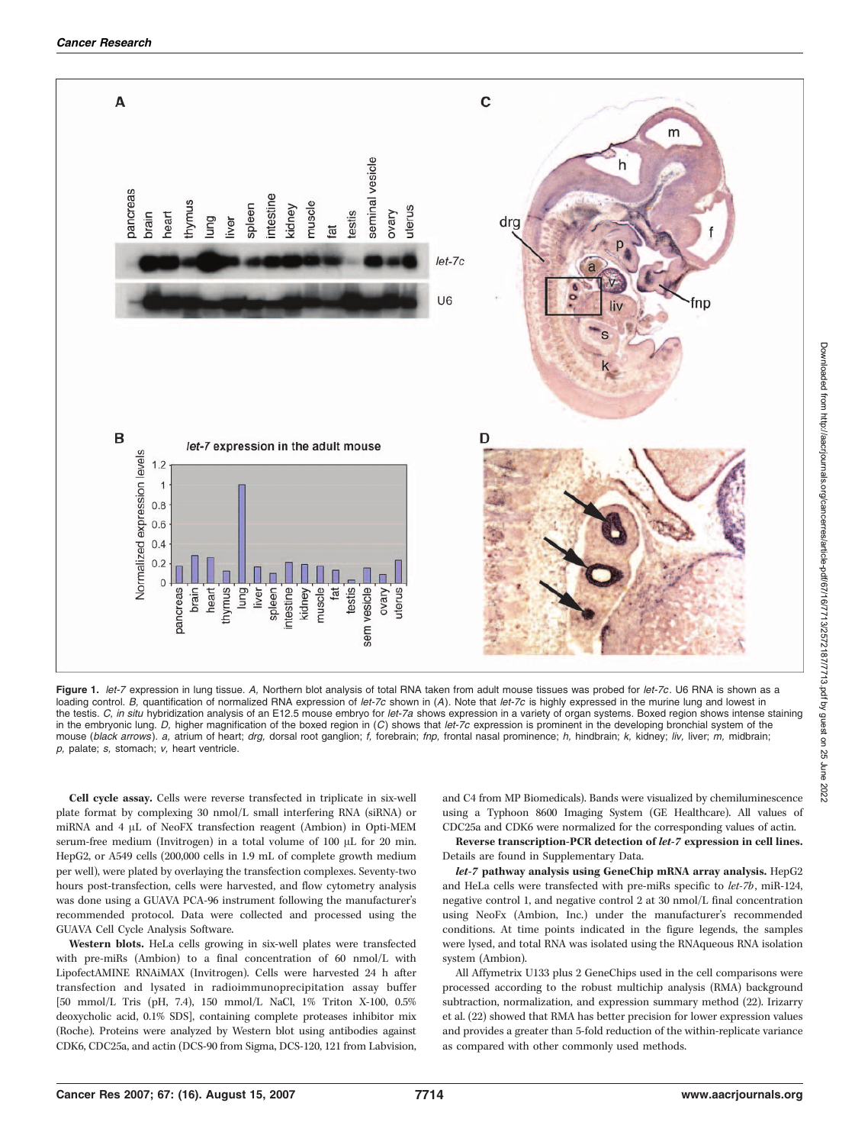

Figure 1. let-7 expression in lung tissue. A, Northern blot analysis of total RNA taken from adult mouse tissues was probed for let-7c. U6 RNA is shown as a loading control. B, quantification of normalized RNA expression of let-7c shown in (A). Note that let-7c is highly expressed in the murine lung and lowest in the testis. C, in situ hybridization analysis of an E12.5 mouse embryo for let-7a shows expression in a variety of organ systems. Boxed region shows intense staining in the embryonic lung.  $D$ , higher magnification of the boxed region in  $(C)$  shows that let-7c expression is prominent in the developing bronchial system of the mouse (black arrows). a, atrium of heart; drg, dorsal root ganglion; f, forebrain; fnp, frontal nasal prominence; h, hindbrain; k, kidney; liv, liver; m, midbrain; p, palate; s, stomach; v, heart ventricle.

Cell cycle assay. Cells were reverse transfected in triplicate in six-well plate format by complexing 30 nmol/L small interfering RNA (siRNA) or miRNA and 4 µL of NeoFX transfection reagent (Ambion) in Opti-MEM serum-free medium (Invitrogen) in a total volume of 100 µL for 20 min. HepG2, or A549 cells (200,000 cells in 1.9 mL of complete growth medium per well), were plated by overlaying the transfection complexes. Seventy-two hours post-transfection, cells were harvested, and flow cytometry analysis was done using a GUAVA PCA-96 instrument following the manufacturer's recommended protocol. Data were collected and processed using the GUAVA Cell Cycle Analysis Software.

Western blots. HeLa cells growing in six-well plates were transfected with pre-miRs (Ambion) to a final concentration of 60 nmol/L with LipofectAMINE RNAiMAX (Invitrogen). Cells were harvested 24 h after transfection and lysated in radioimmunoprecipitation assay buffer [50 mmol/L Tris (pH, 7.4), 150 mmol/L NaCl, 1% Triton X-100, 0.5% deoxycholic acid, 0.1% SDS], containing complete proteases inhibitor mix (Roche). Proteins were analyzed by Western blot using antibodies against CDK6, CDC25a, and actin (DCS-90 from Sigma, DCS-120, 121 from Labvision,

and C4 from MP Biomedicals). Bands were visualized by chemiluminescence using a Typhoon 8600 Imaging System (GE Healthcare). All values of CDC25a and CDK6 were normalized for the corresponding values of actin.

Reverse transcription-PCR detection of let-7 expression in cell lines. Details are found in Supplementary Data.

let-7 pathway analysis using GeneChip mRNA array analysis. HepG2 and HeLa cells were transfected with pre-miRs specific to let-7b, miR-124, negative control 1, and negative control 2 at 30 nmol/L final concentration using NeoFx (Ambion, Inc.) under the manufacturer's recommended conditions. At time points indicated in the figure legends, the samples were lysed, and total RNA was isolated using the RNAqueous RNA isolation system (Ambion).

All Affymetrix U133 plus 2 GeneChips used in the cell comparisons were processed according to the robust multichip analysis (RMA) background subtraction, normalization, and expression summary method (22). Irizarry et al. (22) showed that RMA has better precision for lower expression values and provides a greater than 5-fold reduction of the within-replicate variance as compared with other commonly used methods.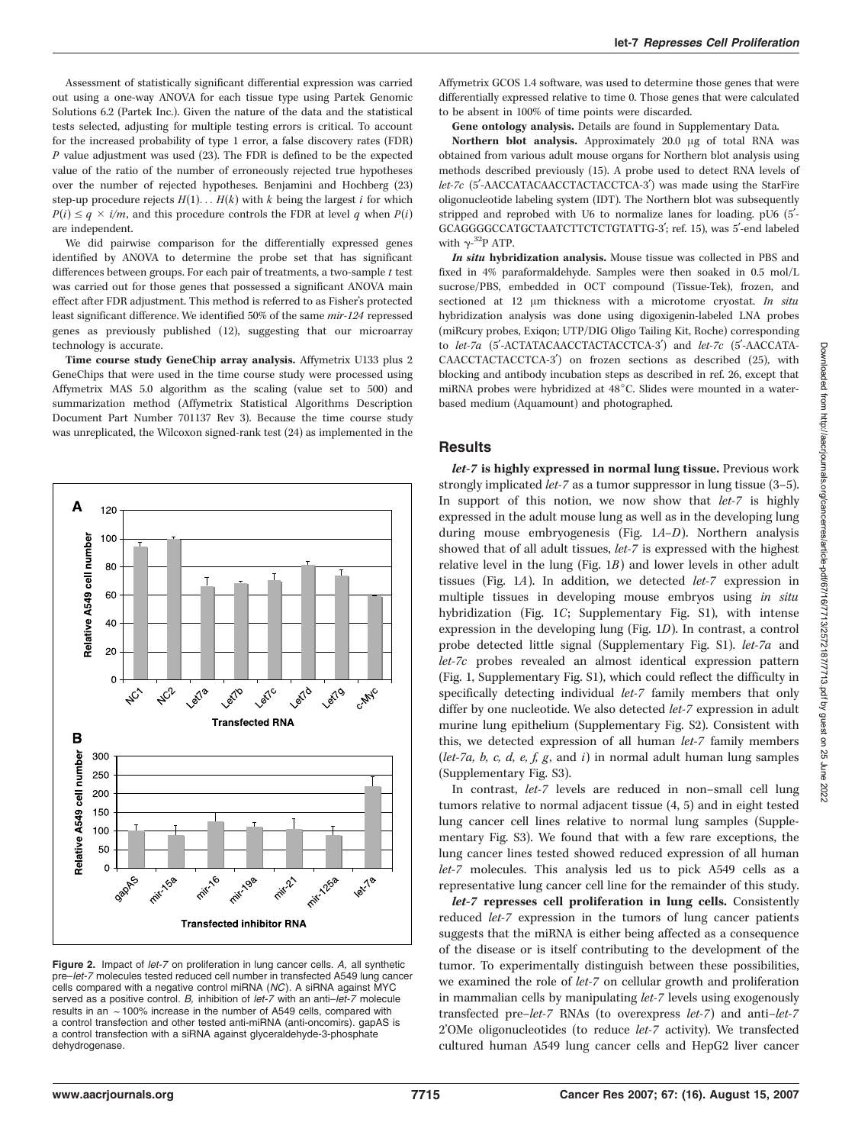Assessment of statistically significant differential expression was carried out using a one-way ANOVA for each tissue type using Partek Genomic Solutions 6.2 (Partek Inc.). Given the nature of the data and the statistical tests selected, adjusting for multiple testing errors is critical. To account for the increased probability of type 1 error, a false discovery rates (FDR)  $P$  value adjustment was used (23). The FDR is defined to be the expected value of the ratio of the number of erroneously rejected true hypotheses over the number of rejected hypotheses. Benjamini and Hochberg (23) step-up procedure rejects  $H(1) \ldots H(k)$  with k being the largest i for which  $P(i) \leq q \times i/m$ , and this procedure controls the FDR at level q when  $P(i)$ are independent.

We did pairwise comparison for the differentially expressed genes identified by ANOVA to determine the probe set that has significant differences between groups. For each pair of treatments, a two-sample  $t$  test was carried out for those genes that possessed a significant ANOVA main effect after FDR adjustment. This method is referred to as Fisher's protected least significant difference. We identified 50% of the same mir-124 repressed genes as previously published (12), suggesting that our microarray technology is accurate.

Time course study GeneChip array analysis. Affymetrix U133 plus 2 GeneChips that were used in the time course study were processed using Affymetrix MAS 5.0 algorithm as the scaling (value set to 500) and summarization method (Affymetrix Statistical Algorithms Description Document Part Number 701137 Rev 3). Because the time course study was unreplicated, the Wilcoxon signed-rank test (24) as implemented in the



Figure 2. Impact of let-7 on proliferation in lung cancer cells. A, all synthetic pre–let-7 molecules tested reduced cell number in transfected A549 lung cancer cells compared with a negative control miRNA (NC). A siRNA against MYC served as a positive control. B, inhibition of let-7 with an anti-let-7 molecule results in an  $\sim$  100% increase in the number of A549 cells, compared with a control transfection and other tested anti-miRNA (anti-oncomirs). gapAS is a control transfection with a siRNA against glyceraldehyde-3-phosphate dehydrogenase.

Affymetrix GCOS 1.4 software, was used to determine those genes that were differentially expressed relative to time 0. Those genes that were calculated to be absent in 100% of time points were discarded.

Gene ontology analysis. Details are found in Supplementary Data.

Northern blot analysis. Approximately  $20.0 \mu g$  of total RNA was obtained from various adult mouse organs for Northern blot analysis using methods described previously (15). A probe used to detect RNA levels of let-7c (5'-AACCATACAACCTACTACCTCA-3') was made using the StarFire oligonucleotide labeling system (IDT). The Northern blot was subsequently stripped and reprobed with U6 to normalize lanes for loading.  $pU6$  ( $5'$ -GCAGGGGCCATGCTAATCTTCTCTGTATTG-3'; ref. 15), was 5'-end labeled with  $\gamma$ -<sup>32</sup>P ATP.

In situ hybridization analysis. Mouse tissue was collected in PBS and fixed in 4% paraformaldehyde. Samples were then soaked in 0.5 mol/L sucrose/PBS, embedded in OCT compound (Tissue-Tek), frozen, and sectioned at 12  $\mu$ m thickness with a microtome cryostat. In situ hybridization analysis was done using digoxigenin-labeled LNA probes (miRcury probes, Exiqon; UTP/DIG Oligo Tailing Kit, Roche) corresponding to let-7a (5'-ACTATACAACCTACTACCTCA-3') and let-7c (5'-AACCATA-CAACCTACTACCTCA-3<sup>'</sup>) on frozen sections as described (25), with blocking and antibody incubation steps as described in ref. 26, except that miRNA probes were hybridized at 48°C. Slides were mounted in a waterbased medium (Aquamount) and photographed.

### **Results**

let-7 is highly expressed in normal lung tissue. Previous work strongly implicated let-7 as a tumor suppressor in lung tissue (3–5). In support of this notion, we now show that *let-7* is highly expressed in the adult mouse lung as well as in the developing lung during mouse embryogenesis (Fig. 1A–D). Northern analysis showed that of all adult tissues, let-7 is expressed with the highest relative level in the lung (Fig. 1B) and lower levels in other adult tissues (Fig. 1A). In addition, we detected let-7 expression in multiple tissues in developing mouse embryos using in situ hybridization (Fig. 1C; Supplementary Fig. S1), with intense expression in the developing lung (Fig. 1D). In contrast, a control probe detected little signal (Supplementary Fig. S1). let-7a and let-7c probes revealed an almost identical expression pattern (Fig. 1, Supplementary Fig. S1), which could reflect the difficulty in specifically detecting individual let-7 family members that only differ by one nucleotide. We also detected let-7 expression in adult murine lung epithelium (Supplementary Fig. S2). Consistent with this, we detected expression of all human let-7 family members (let-7a, b, c, d, e, f, g, and i) in normal adult human lung samples (Supplementary Fig. S3).

In contrast, let-7 levels are reduced in non–small cell lung tumors relative to normal adjacent tissue (4, 5) and in eight tested lung cancer cell lines relative to normal lung samples (Supplementary Fig. S3). We found that with a few rare exceptions, the lung cancer lines tested showed reduced expression of all human let-7 molecules. This analysis led us to pick A549 cells as a representative lung cancer cell line for the remainder of this study.

let-7 represses cell proliferation in lung cells. Consistently reduced let-7 expression in the tumors of lung cancer patients suggests that the miRNA is either being affected as a consequence of the disease or is itself contributing to the development of the tumor. To experimentally distinguish between these possibilities, we examined the role of let-7 on cellular growth and proliferation in mammalian cells by manipulating let-7 levels using exogenously transfected pre–let-7 RNAs (to overexpress let-7) and anti–let-7 2'OMe oligonucleotides (to reduce let-7 activity). We transfected cultured human A549 lung cancer cells and HepG2 liver cancer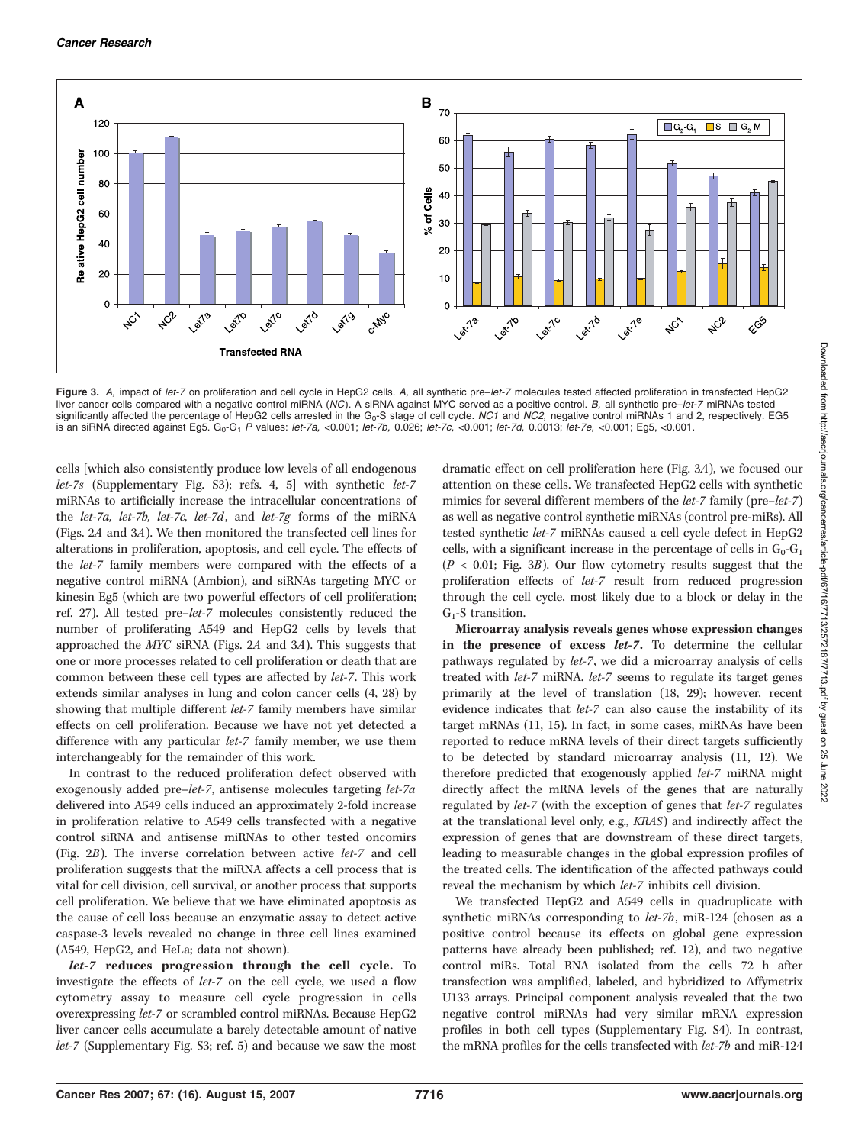

Figure 3. A, impact of let-7 on proliferation and cell cycle in HepG2 cells. A, all synthetic pre-let-7 molecules tested affected proliferation in transfected HepG2 liver cancer cells compared with a negative control miRNA (NC). A siRNA against MYC served as a positive control. B, all synthetic pre–let-7 miRNAs tested significantly affected the percentage of HepG2 cells arrested in the  $G_0$ -S stage of cell cycle. NC1 and NC2, negative control miRNAs 1 and 2, respectively. EG5 is an siRNA directed against Eg5. G<sub>0</sub>-G<sub>1</sub> P values: let-7a, <0.001; let-7b, 0.026; let-7c, <0.001; let-7d, 0.0013; let-7e, <0.001; Eg5, <0.001;

cells [which also consistently produce low levels of all endogenous let-7s (Supplementary Fig. S3); refs. 4, 5] with synthetic let-7 miRNAs to artificially increase the intracellular concentrations of the let-7a, let-7b, let-7c, let-7d, and let-7g forms of the miRNA (Figs. 2A and 3A). We then monitored the transfected cell lines for alterations in proliferation, apoptosis, and cell cycle. The effects of the let-7 family members were compared with the effects of a negative control miRNA (Ambion), and siRNAs targeting MYC or kinesin Eg5 (which are two powerful effectors of cell proliferation; ref. 27). All tested pre–let-7 molecules consistently reduced the number of proliferating A549 and HepG2 cells by levels that approached the MYC siRNA (Figs. 2A and 3A). This suggests that one or more processes related to cell proliferation or death that are common between these cell types are affected by let-7. This work extends similar analyses in lung and colon cancer cells (4, 28) by showing that multiple different let-7 family members have similar effects on cell proliferation. Because we have not yet detected a difference with any particular let-7 family member, we use them interchangeably for the remainder of this work.

In contrast to the reduced proliferation defect observed with exogenously added pre–let-7, antisense molecules targeting let-7a delivered into A549 cells induced an approximately 2-fold increase in proliferation relative to A549 cells transfected with a negative control siRNA and antisense miRNAs to other tested oncomirs (Fig. 2B). The inverse correlation between active let-7 and cell proliferation suggests that the miRNA affects a cell process that is vital for cell division, cell survival, or another process that supports cell proliferation. We believe that we have eliminated apoptosis as the cause of cell loss because an enzymatic assay to detect active caspase-3 levels revealed no change in three cell lines examined (A549, HepG2, and HeLa; data not shown).

let-7 reduces progression through the cell cycle. To investigate the effects of let-7 on the cell cycle, we used a flow cytometry assay to measure cell cycle progression in cells overexpressing let-7 or scrambled control miRNAs. Because HepG2 liver cancer cells accumulate a barely detectable amount of native let-7 (Supplementary Fig. S3; ref. 5) and because we saw the most

dramatic effect on cell proliferation here (Fig. 3A), we focused our attention on these cells. We transfected HepG2 cells with synthetic mimics for several different members of the *let-7* family (pre–*let-7*) as well as negative control synthetic miRNAs (control pre-miRs). All tested synthetic let-7 miRNAs caused a cell cycle defect in HepG2 cells, with a significant increase in the percentage of cells in  $G_0-G_1$  $(P < 0.01$ ; Fig. 3B). Our flow cytometry results suggest that the proliferation effects of let-7 result from reduced progression through the cell cycle, most likely due to a block or delay in the  $G_1$ -S transition.

Microarray analysis reveals genes whose expression changes in the presence of excess let-7. To determine the cellular pathways regulated by let-7, we did a microarray analysis of cells treated with let-7 miRNA. let-7 seems to regulate its target genes primarily at the level of translation (18, 29); however, recent evidence indicates that let-7 can also cause the instability of its target mRNAs (11, 15). In fact, in some cases, miRNAs have been reported to reduce mRNA levels of their direct targets sufficiently to be detected by standard microarray analysis (11, 12). We therefore predicted that exogenously applied let-7 miRNA might directly affect the mRNA levels of the genes that are naturally regulated by let-7 (with the exception of genes that let-7 regulates at the translational level only, e.g., KRAS) and indirectly affect the expression of genes that are downstream of these direct targets, leading to measurable changes in the global expression profiles of the treated cells. The identification of the affected pathways could reveal the mechanism by which let-7 inhibits cell division.

We transfected HepG2 and A549 cells in quadruplicate with synthetic miRNAs corresponding to let-7b, miR-124 (chosen as a positive control because its effects on global gene expression patterns have already been published; ref. 12), and two negative control miRs. Total RNA isolated from the cells 72 h after transfection was amplified, labeled, and hybridized to Affymetrix U133 arrays. Principal component analysis revealed that the two negative control miRNAs had very similar mRNA expression profiles in both cell types (Supplementary Fig. S4). In contrast, the mRNA profiles for the cells transfected with let-7b and miR-124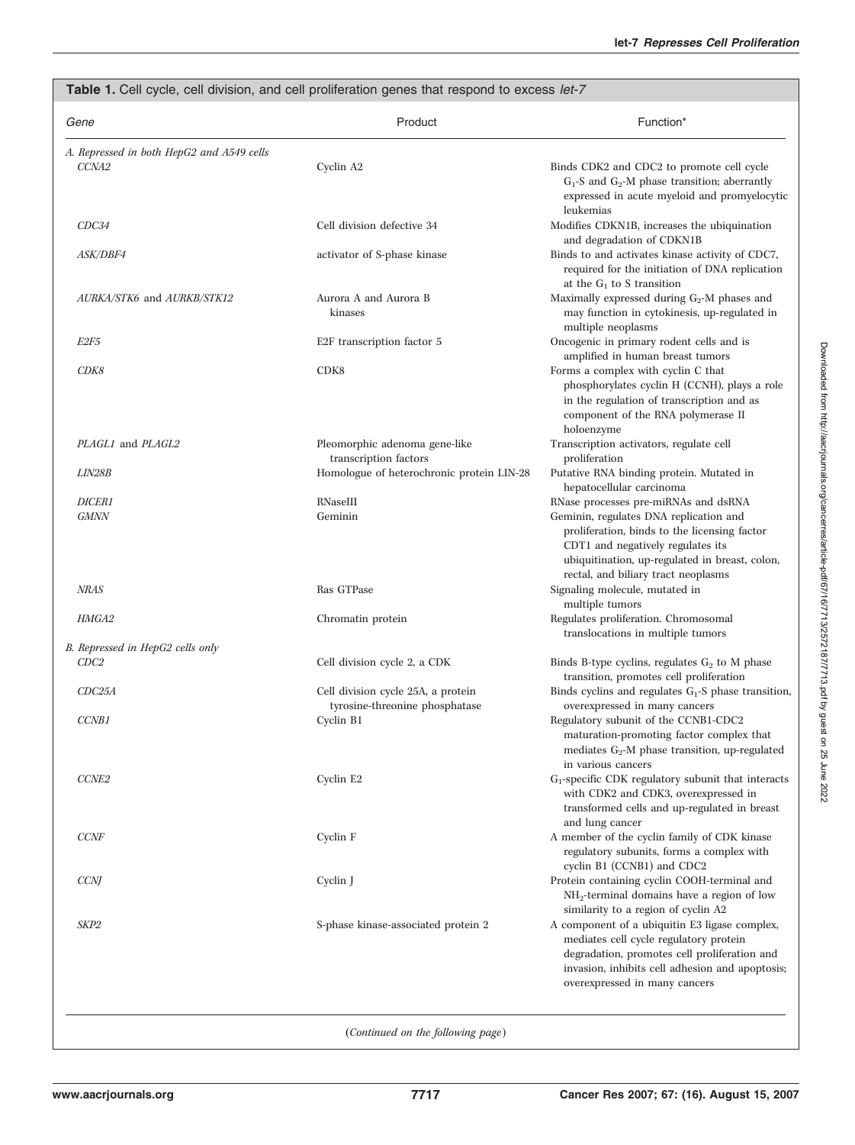|                                                           | Table 1. Cell cycle, cell division, and cell proliferation genes that respond to excess let-7 |                                                                                                                                                                                                                             |
|-----------------------------------------------------------|-----------------------------------------------------------------------------------------------|-----------------------------------------------------------------------------------------------------------------------------------------------------------------------------------------------------------------------------|
| Gene                                                      | Product                                                                                       | Function*                                                                                                                                                                                                                   |
| A. Repressed in both HepG2 and A549 cells<br><i>CCNA2</i> | Cyclin A2                                                                                     | Binds CDK2 and CDC2 to promote cell cycle<br>$G_1$ -S and $G_2$ -M phase transition; aberrantly<br>expressed in acute myeloid and promyelocytic<br>leukemias                                                                |
| CDC34                                                     | Cell division defective 34                                                                    | Modifies CDKN1B, increases the ubiquination<br>and degradation of CDKN1B                                                                                                                                                    |
| ASK/DBF4                                                  | activator of S-phase kinase                                                                   | Binds to and activates kinase activity of CDC7,<br>required for the initiation of DNA replication<br>at the $G_1$ to S transition                                                                                           |
| AURKA/STK6 and AURKB/STK12                                | Aurora A and Aurora B<br>kinases                                                              | Maximally expressed during $G_2$ -M phases and<br>may function in cytokinesis, up-regulated in<br>multiple neoplasms                                                                                                        |
| E2F5                                                      | E2F transcription factor 5                                                                    | Oncogenic in primary rodent cells and is<br>amplified in human breast tumors                                                                                                                                                |
| CDK8                                                      | CDK8                                                                                          | Forms a complex with cyclin C that<br>phosphorylates cyclin H (CCNH), plays a role<br>in the regulation of transcription and as<br>component of the RNA polymerase II<br>holoenzyme                                         |
| PLAGL1 and PLAGL2                                         | Pleomorphic adenoma gene-like<br>transcription factors                                        | Transcription activators, regulate cell<br>proliferation                                                                                                                                                                    |
| <b>LIN28B</b>                                             | Homologue of heterochronic protein LIN-28                                                     | Putative RNA binding protein. Mutated in<br>hepatocellular carcinoma                                                                                                                                                        |
| <b>DICER1</b><br><b>GMNN</b>                              | RNaseIII<br>Geminin                                                                           | RNase processes pre-miRNAs and dsRNA<br>Geminin, regulates DNA replication and<br>proliferation, binds to the licensing factor<br>CDT1 and negatively regulates its<br>ubiquitination, up-regulated in breast, colon,       |
| <b>NRAS</b>                                               | Ras GTPase                                                                                    | rectal, and biliary tract neoplasms<br>Signaling molecule, mutated in<br>multiple tumors                                                                                                                                    |
| <b>HMGA2</b>                                              | Chromatin protein                                                                             | Regulates proliferation. Chromosomal<br>translocations in multiple tumors                                                                                                                                                   |
| B. Repressed in HepG2 cells only                          |                                                                                               |                                                                                                                                                                                                                             |
| CDC2                                                      | Cell division cycle 2, a CDK                                                                  | Binds B-type cyclins, regulates $G_2$ to M phase<br>transition, promotes cell proliferation                                                                                                                                 |
| CDC25A                                                    | Cell division cycle 25A, a protein<br>tyrosine-threonine phosphatase                          | Binds cyclins and regulates $G_1$ -S phase transition,<br>overexpressed in many cancers                                                                                                                                     |
| <b>CCNB1</b>                                              | Cyclin B1                                                                                     | Regulatory subunit of the CCNB1-CDC2<br>maturation-promoting factor complex that<br>mediates $G_2$ -M phase transition, up-regulated<br>in various cancers                                                                  |
| CCNE2                                                     | Cyclin E2                                                                                     | $G_1$ -specific CDK regulatory subunit that interacts<br>with CDK2 and CDK3, overexpressed in<br>transformed cells and up-regulated in breast<br>and lung cancer                                                            |
| <b>CCNF</b>                                               | Cyclin F                                                                                      | A member of the cyclin family of CDK kinase<br>regulatory subunits, forms a complex with<br>cyclin B1 (CCNB1) and CDC2                                                                                                      |
| <b>CCNJ</b>                                               | Cyclin J                                                                                      | Protein containing cyclin COOH-terminal and<br>$NH_2$ -terminal domains have a region of low<br>similarity to a region of cyclin A2                                                                                         |
| SKP2                                                      | S-phase kinase-associated protein 2                                                           | A component of a ubiquitin E3 ligase complex,<br>mediates cell cycle regulatory protein<br>degradation, promotes cell proliferation and<br>invasion, inhibits cell adhesion and apoptosis;<br>overexpressed in many cancers |
|                                                           | (Continued on the following page)                                                             |                                                                                                                                                                                                                             |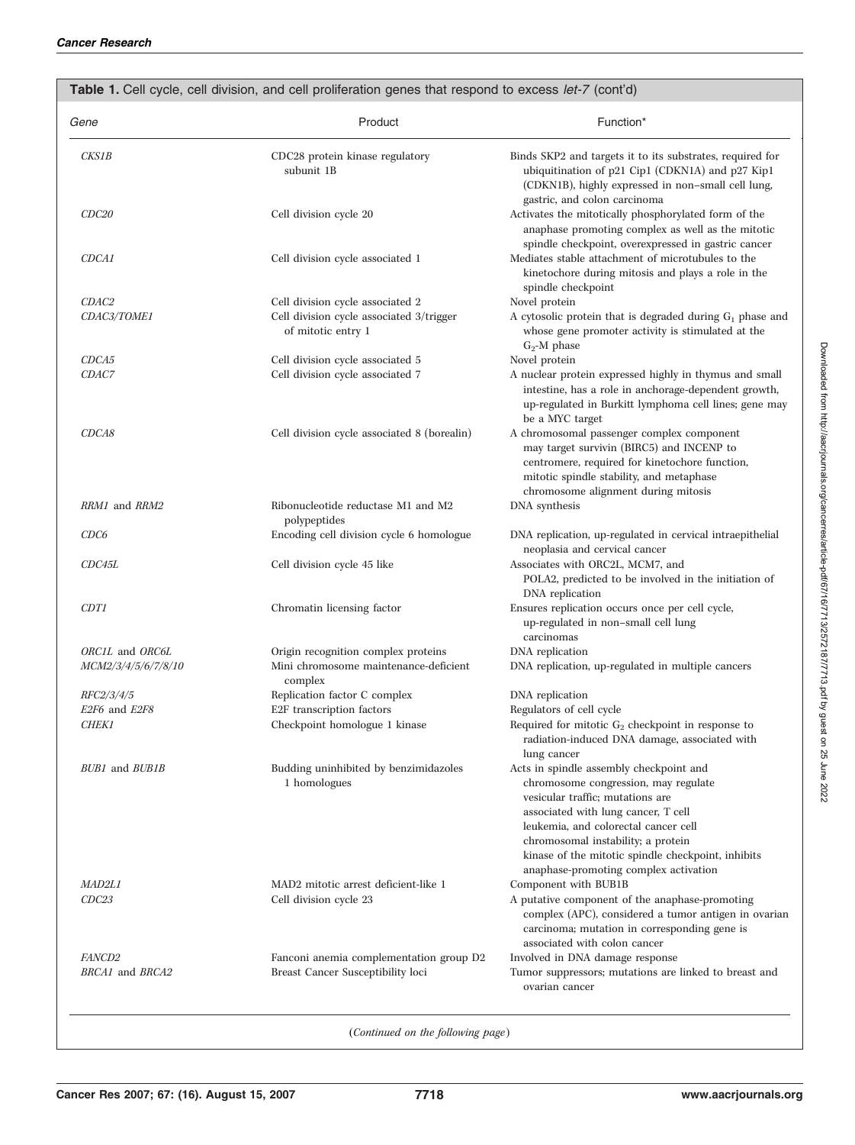| Gene                             | Product                                                                      | Function*                                                                                                                                                                                                                                                                                                                               |
|----------------------------------|------------------------------------------------------------------------------|-----------------------------------------------------------------------------------------------------------------------------------------------------------------------------------------------------------------------------------------------------------------------------------------------------------------------------------------|
| <i><b>CKS1B</b></i>              | CDC28 protein kinase regulatory<br>subunit 1B                                | Binds SKP2 and targets it to its substrates, required for<br>ubiquitination of p21 Cip1 (CDKN1A) and p27 Kip1<br>(CDKN1B), highly expressed in non-small cell lung,<br>gastric, and colon carcinoma                                                                                                                                     |
| CDC <sub>20</sub>                | Cell division cycle 20                                                       | Activates the mitotically phosphorylated form of the<br>anaphase promoting complex as well as the mitotic<br>spindle checkpoint, overexpressed in gastric cancer                                                                                                                                                                        |
| CDCA1                            | Cell division cycle associated 1                                             | Mediates stable attachment of microtubules to the<br>kinetochore during mitosis and plays a role in the<br>spindle checkpoint                                                                                                                                                                                                           |
| CDAC2                            | Cell division cycle associated 2                                             | Novel protein                                                                                                                                                                                                                                                                                                                           |
| CDAC3/TOME1                      | Cell division cycle associated 3/trigger<br>of mitotic entry 1               | A cytosolic protein that is degraded during $G_1$ phase and<br>whose gene promoter activity is stimulated at the<br>$G_2$ -M phase                                                                                                                                                                                                      |
| CDCA5                            | Cell division cycle associated 5                                             | Novel protein                                                                                                                                                                                                                                                                                                                           |
| CDAC7                            | Cell division cycle associated 7                                             | A nuclear protein expressed highly in thymus and small<br>intestine, has a role in anchorage-dependent growth,<br>up-regulated in Burkitt lymphoma cell lines; gene may<br>be a MYC target                                                                                                                                              |
| CDCA8                            | Cell division cycle associated 8 (borealin)                                  | A chromosomal passenger complex component<br>may target survivin (BIRC5) and INCENP to<br>centromere, required for kinetochore function,<br>mitotic spindle stability, and metaphase<br>chromosome alignment during mitosis                                                                                                             |
| RRM1 and RRM2                    | Ribonucleotide reductase M1 and M2<br>polypeptides                           | DNA synthesis                                                                                                                                                                                                                                                                                                                           |
| CDC6                             | Encoding cell division cycle 6 homologue                                     | DNA replication, up-regulated in cervical intraepithelial<br>neoplasia and cervical cancer                                                                                                                                                                                                                                              |
| CDC45L                           | Cell division cycle 45 like                                                  | Associates with ORC2L, MCM7, and<br>POLA2, predicted to be involved in the initiation of<br>DNA replication                                                                                                                                                                                                                             |
| <b>CDT1</b>                      | Chromatin licensing factor                                                   | Ensures replication occurs once per cell cycle,<br>up-regulated in non-small cell lung<br>carcinomas                                                                                                                                                                                                                                    |
| ORC1L and ORC6L                  | Origin recognition complex proteins                                          | DNA replication                                                                                                                                                                                                                                                                                                                         |
| <i>MCM2/3/4/5/6/7/8/10</i>       | Mini chromosome maintenance-deficient<br>complex                             | DNA replication, up-regulated in multiple cancers                                                                                                                                                                                                                                                                                       |
| <i>RFC2/3/4/5</i>                | Replication factor C complex                                                 | DNA replication                                                                                                                                                                                                                                                                                                                         |
| E2F6 and E2F8                    | E2F transcription factors                                                    | Regulators of cell cycle                                                                                                                                                                                                                                                                                                                |
| <b>CHEK1</b>                     | Checkpoint homologue 1 kinase                                                | Required for mitotic $G_2$ checkpoint in response to<br>radiation-induced DNA damage, associated with<br>lung cancer                                                                                                                                                                                                                    |
| <b>BUB1</b> and <b>BUB1B</b>     | Budding uninhibited by benzimidazoles<br>1 homologues                        | Acts in spindle assembly checkpoint and<br>chromosome congression, may regulate<br>vesicular traffic; mutations are<br>associated with lung cancer, T cell<br>leukemia, and colorectal cancer cell<br>chromosomal instability; a protein<br>kinase of the mitotic spindle checkpoint, inhibits<br>anaphase-promoting complex activation |
| <i>MAD2L1</i>                    | MAD2 mitotic arrest deficient-like 1                                         | Component with BUB1B                                                                                                                                                                                                                                                                                                                    |
| CDC23                            | Cell division cycle 23                                                       | A putative component of the anaphase-promoting<br>complex (APC), considered a tumor antigen in ovarian<br>carcinoma; mutation in corresponding gene is<br>associated with colon cancer                                                                                                                                                  |
| <i>FANCD2</i><br>BRCA1 and BRCA2 | Fanconi anemia complementation group D2<br>Breast Cancer Susceptibility loci | Involved in DNA damage response<br>Tumor suppressors; mutations are linked to breast and<br>ovarian cancer                                                                                                                                                                                                                              |

(Continued on the following page)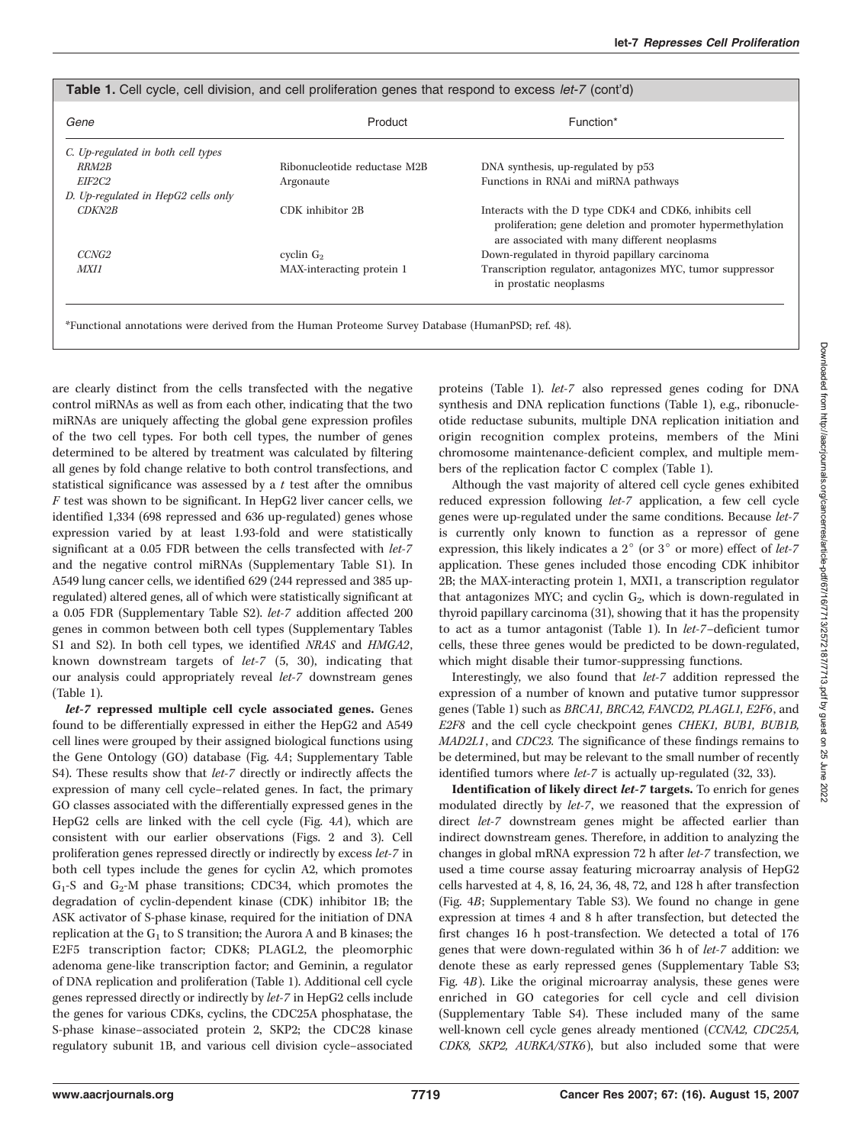| Gene                                | Product                      | Function*                                                                                                                                                            |
|-------------------------------------|------------------------------|----------------------------------------------------------------------------------------------------------------------------------------------------------------------|
| C. Up-regulated in both cell types  |                              |                                                                                                                                                                      |
| <i>RRM2B</i>                        | Ribonucleotide reductase M2B | DNA synthesis, up-regulated by p53                                                                                                                                   |
| <i>EIF2C2</i>                       | Argonaute                    | Functions in RNAi and miRNA pathways                                                                                                                                 |
| D. Up-regulated in HepG2 cells only |                              |                                                                                                                                                                      |
| <i>CDKN2B</i>                       | CDK inhibitor 2B             | Interacts with the D type CDK4 and CDK6, inhibits cell<br>proliferation; gene deletion and promoter hypermethylation<br>are associated with many different neoplasms |
| CCNG <sub>2</sub>                   | cyclin $G_2$                 | Down-regulated in thyroid papillary carcinoma                                                                                                                        |
| <b>MXI1</b>                         | MAX-interacting protein 1    | Transcription regulator, antagonizes MYC, tumor suppressor<br>in prostatic neoplasms                                                                                 |

\*Functional annotations were derived from the Human Proteome Survey Database (HumanPSD; ref. 48).

are clearly distinct from the cells transfected with the negative control miRNAs as well as from each other, indicating that the two miRNAs are uniquely affecting the global gene expression profiles of the two cell types. For both cell types, the number of genes determined to be altered by treatment was calculated by filtering all genes by fold change relative to both control transfections, and statistical significance was assessed by a  $t$  test after the omnibus  $F$  test was shown to be significant. In HepG2 liver cancer cells, we identified 1,334 (698 repressed and 636 up-regulated) genes whose expression varied by at least 1.93-fold and were statistically significant at a 0.05 FDR between the cells transfected with let-7 and the negative control miRNAs (Supplementary Table S1). In A549 lung cancer cells, we identified 629 (244 repressed and 385 upregulated) altered genes, all of which were statistically significant at a 0.05 FDR (Supplementary Table S2). let-7 addition affected 200 genes in common between both cell types (Supplementary Tables S1 and S2). In both cell types, we identified NRAS and HMGA2, known downstream targets of let-7 (5, 30), indicating that our analysis could appropriately reveal let-7 downstream genes (Table 1).

let-7 repressed multiple cell cycle associated genes. Genes found to be differentially expressed in either the HepG2 and A549 cell lines were grouped by their assigned biological functions using the Gene Ontology (GO) database (Fig. 4A; Supplementary Table S4). These results show that *let-7* directly or indirectly affects the expression of many cell cycle–related genes. In fact, the primary GO classes associated with the differentially expressed genes in the HepG2 cells are linked with the cell cycle (Fig. 4A), which are consistent with our earlier observations (Figs. 2 and 3). Cell proliferation genes repressed directly or indirectly by excess let-7 in both cell types include the genes for cyclin A2, which promotes  $G_1$ -S and  $G_2$ -M phase transitions; CDC34, which promotes the degradation of cyclin-dependent kinase (CDK) inhibitor 1B; the ASK activator of S-phase kinase, required for the initiation of DNA replication at the  $G_1$  to S transition; the Aurora A and B kinases; the E2F5 transcription factor; CDK8; PLAGL2, the pleomorphic adenoma gene-like transcription factor; and Geminin, a regulator of DNA replication and proliferation (Table 1). Additional cell cycle genes repressed directly or indirectly by let-7 in HepG2 cells include the genes for various CDKs, cyclins, the CDC25A phosphatase, the S-phase kinase–associated protein 2, SKP2; the CDC28 kinase regulatory subunit 1B, and various cell division cycle–associated proteins (Table 1). let-7 also repressed genes coding for DNA synthesis and DNA replication functions (Table 1), e.g., ribonucleotide reductase subunits, multiple DNA replication initiation and origin recognition complex proteins, members of the Mini chromosome maintenance-deficient complex, and multiple members of the replication factor C complex (Table 1).

Although the vast majority of altered cell cycle genes exhibited reduced expression following let-7 application, a few cell cycle genes were up-regulated under the same conditions. Because let-7 is currently only known to function as a repressor of gene expression, this likely indicates a  $2^{\circ}$  (or  $3^{\circ}$  or more) effect of let-7 application. These genes included those encoding CDK inhibitor 2B; the MAX-interacting protein 1, MXI1, a transcription regulator that antagonizes MYC; and cyclin  $G_2$ , which is down-regulated in thyroid papillary carcinoma (31), showing that it has the propensity to act as a tumor antagonist (Table 1). In let-7–deficient tumor cells, these three genes would be predicted to be down-regulated, which might disable their tumor-suppressing functions.

Interestingly, we also found that let-7 addition repressed the expression of a number of known and putative tumor suppressor genes (Table 1) such as BRCA1, BRCA2, FANCD2, PLAGL1, E2F6, and E2F8 and the cell cycle checkpoint genes CHEK1, BUB1, BUB1B, MAD2L1, and CDC23. The significance of these findings remains to be determined, but may be relevant to the small number of recently identified tumors where *let-7* is actually up-regulated (32, 33).

Identification of likely direct let-7 targets. To enrich for genes modulated directly by let-7, we reasoned that the expression of direct let-7 downstream genes might be affected earlier than indirect downstream genes. Therefore, in addition to analyzing the changes in global mRNA expression 72 h after let-7 transfection, we used a time course assay featuring microarray analysis of HepG2 cells harvested at 4, 8, 16, 24, 36, 48, 72, and 128 h after transfection (Fig. 4B; Supplementary Table S3). We found no change in gene expression at times 4 and 8 h after transfection, but detected the first changes 16 h post-transfection. We detected a total of 176 genes that were down-regulated within 36 h of let-7 addition: we denote these as early repressed genes (Supplementary Table S3; Fig. 4B). Like the original microarray analysis, these genes were enriched in GO categories for cell cycle and cell division (Supplementary Table S4). These included many of the same well-known cell cycle genes already mentioned (CCNA2, CDC25A, CDK8, SKP2, AURKA/STK6), but also included some that were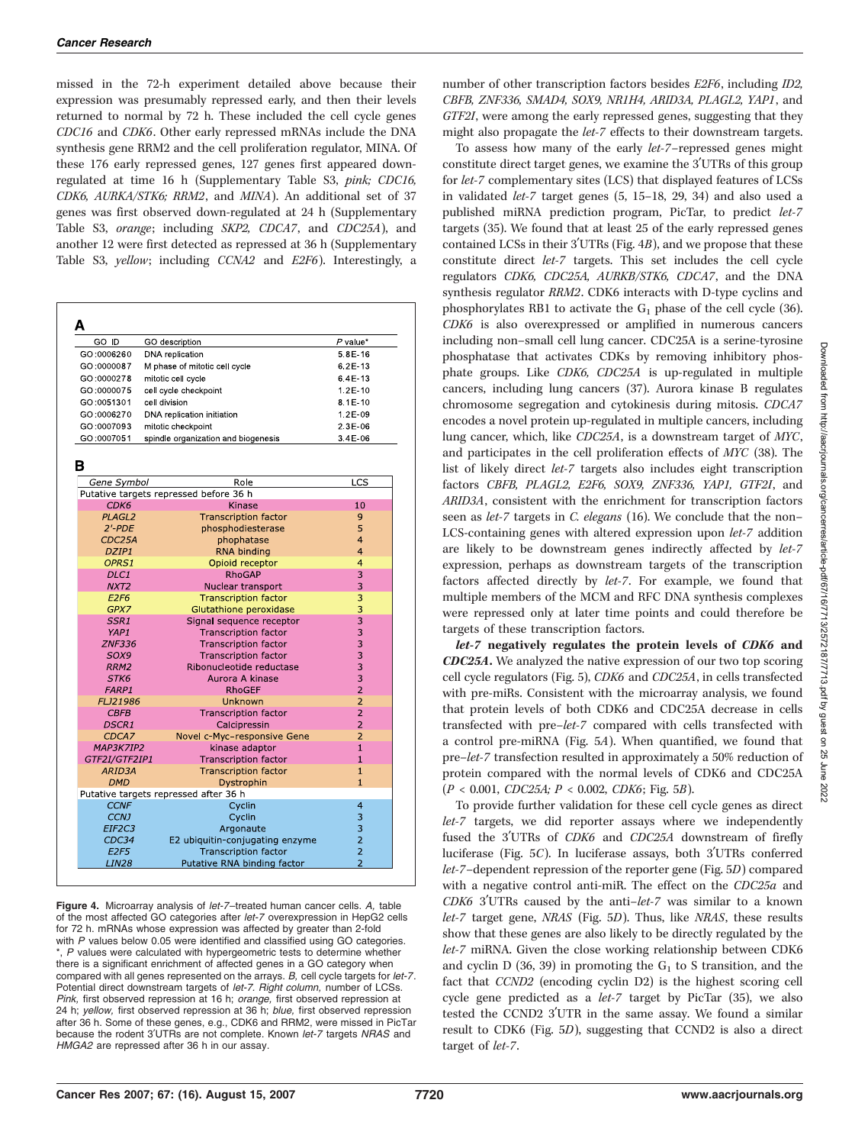missed in the 72-h experiment detailed above because their expression was presumably repressed early, and then their levels returned to normal by 72 h. These included the cell cycle genes CDC16 and CDK6. Other early repressed mRNAs include the DNA synthesis gene RRM2 and the cell proliferation regulator, MINA. Of these 176 early repressed genes, 127 genes first appeared downregulated at time 16 h (Supplementary Table S3, pink; CDC16, CDK6, AURKA/STK6; RRM2, and MINA). An additional set of 37 genes was first observed down-regulated at 24 h (Supplementary Table S3, orange; including SKP2, CDCA7, and CDC25A), and another 12 were first detected as repressed at 36 h (Supplementary Table S3, yellow; including CCNA2 and E2F6). Interestingly, a

| GO ID                   | GO description                                             | $P$ value*                     |
|-------------------------|------------------------------------------------------------|--------------------------------|
| GO:0006260              | DNA replication                                            | 5 8 E 16                       |
| GO:0000087              | M phase of mitotic cell cycle                              | 6 2E 13                        |
| GO:0000278              | mitotic cell cycle                                         | 64E 13                         |
| GO:0000075              | cell cycle checkpoint                                      | $1.2E - 10$                    |
| GO:0051301              | cell division                                              | 8 1 E 10                       |
| GO:0006270              | DNA replication initiation                                 | 1.2E-09                        |
| GO:0007093              | mitotic checkpoint                                         | 2 3 E 0 6                      |
| GO:0007051              | spindle organization and biogenesis                        | 34E 06                         |
|                         |                                                            |                                |
| Gene Symbol             | Role                                                       | LCS                            |
| CDK <sub>6</sub>        | Putative targets repressed before 36 h<br>Kinase           | 10                             |
| PLAGL2                  | <b>Transcription factor</b>                                | 9                              |
| $2'$ -PDE               | phosphodiesterase                                          | 5                              |
| CDC25A                  | phophatase                                                 | 4                              |
| DZIP1                   | <b>RNA binding</b>                                         | $\overline{\mathbf{4}}$        |
| OPRS1                   | Opioid receptor                                            | $\overline{4}$                 |
| DLC1                    | <b>RhoGAP</b>                                              | 3                              |
| NXT <sub>2</sub>        | Nuclear transport                                          | 3                              |
| E <sub>2F6</sub>        | <b>Transcription factor</b>                                | 3                              |
| GPX7                    | Glutathione peroxidase                                     | 3                              |
| SSR <sub>1</sub>        | Signal sequence receptor                                   | 3                              |
| YAP1                    | <b>Transcription factor</b>                                | 3                              |
| <b>ZNF336</b>           | <b>Transcription factor</b>                                | 3                              |
| SOX9                    | <b>Transcription factor</b>                                | 3                              |
| RRM2                    | Ribonucleotide reductase                                   | 3                              |
| STK6                    | Aurora A kinase                                            | 3                              |
| <b>FARP1</b>            | <b>RhoGEF</b>                                              | $\overline{2}$                 |
| FLJ21986                | Unknown                                                    | $\overline{2}$                 |
| <b>CBFB</b>             | <b>Transcription factor</b>                                | $\overline{2}$                 |
| <b>DSCR1</b>            | Calcipressin                                               | $\overline{2}$                 |
| CDCA7<br>MAP3K7IP2      | Novel c-Myc-responsive Gene<br>kinase adaptor              | $\overline{2}$<br>$\mathbf{1}$ |
|                         |                                                            | $\mathbf{1}$                   |
| GTF2I/GTF2IP1<br>ARID3A | <b>Transcription factor</b><br><b>Transcription factor</b> | $\mathbf{1}$                   |
| <b>DMD</b>              | Dystrophin                                                 | $\mathbf{1}$                   |
|                         | Putative targets repressed after 36 h                      |                                |
| <b>CCNF</b>             | Cyclin                                                     | 4                              |
| <b>CCNJ</b>             | Cyclin                                                     | 3                              |
| EIF2C3                  | Argonaute                                                  | 3                              |
| CDC34                   | E2 ubiquitin-conjugating enzyme                            | $\overline{a}$                 |
| E <sub>2F5</sub>        | <b>Transcription factor</b>                                | $\overline{2}$                 |
| <b>LIN28</b>            | Putative RNA binding factor                                | $\overline{2}$                 |

Figure 4. Microarray analysis of let-7-treated human cancer cells. A, table of the most affected GO categories after let-7 overexpression in HepG2 cells for 72 h. mRNAs whose expression was affected by greater than 2-fold with P values below 0.05 were identified and classified using GO categories. \*, P values were calculated with hypergeometric tests to determine whether there is a significant enrichment of affected genes in a GO category when compared with all genes represented on the arrays. B, cell cycle targets for let-7. Potential direct downstream targets of let-7. Right column, number of LCSs. Pink, first observed repression at 16 h; orange, first observed repression at 24 h; yellow, first observed repression at 36 h; blue, first observed repression after 36 h. Some of these genes, e.g., CDK6 and RRM2, were missed in PicTar because the rodent 3'UTRs are not complete. Known let-7 targets NRAS and HMGA2 are repressed after 36 h in our assay.

number of other transcription factors besides E2F6, including ID2, CBFB, ZNF336, SMAD4, SOX9, NR1H4, ARID3A, PLAGL2, YAP1, and GTF2I, were among the early repressed genes, suggesting that they might also propagate the let-7 effects to their downstream targets.

To assess how many of the early let-7–repressed genes might constitute direct target genes, we examine the  $3'UTRs$  of this group for let-7 complementary sites (LCS) that displayed features of LCSs in validated let-7 target genes (5, 15–18, 29, 34) and also used a published miRNA prediction program, PicTar, to predict let-7 targets (35). We found that at least 25 of the early repressed genes contained LCSs in their  $3'UTRs$  (Fig. 4B), and we propose that these constitute direct let-7 targets. This set includes the cell cycle regulators CDK6, CDC25A, AURKB/STK6, CDCA7, and the DNA synthesis regulator RRM2. CDK6 interacts with D-type cyclins and phosphorylates RB1 to activate the  $G_1$  phase of the cell cycle (36). CDK6 is also overexpressed or amplified in numerous cancers including non–small cell lung cancer. CDC25A is a serine-tyrosine phosphatase that activates CDKs by removing inhibitory phosphate groups. Like CDK6, CDC25A is up-regulated in multiple cancers, including lung cancers (37). Aurora kinase B regulates chromosome segregation and cytokinesis during mitosis. CDCA7 encodes a novel protein up-regulated in multiple cancers, including lung cancer, which, like CDC25A, is a downstream target of MYC, and participates in the cell proliferation effects of MYC (38). The list of likely direct let-7 targets also includes eight transcription factors CBFB, PLAGL2, E2F6, SOX9, ZNF336, YAP1, GTF2I, and ARID3A, consistent with the enrichment for transcription factors seen as let-7 targets in C. elegans (16). We conclude that the non-LCS-containing genes with altered expression upon let-7 addition are likely to be downstream genes indirectly affected by let-7 expression, perhaps as downstream targets of the transcription factors affected directly by let-7. For example, we found that multiple members of the MCM and RFC DNA synthesis complexes were repressed only at later time points and could therefore be targets of these transcription factors.

let-7 negatively regulates the protein levels of CDK6 and CDC25A. We analyzed the native expression of our two top scoring cell cycle regulators (Fig. 5), CDK6 and CDC25A, in cells transfected with pre-miRs. Consistent with the microarray analysis, we found that protein levels of both CDK6 and CDC25A decrease in cells transfected with pre–let-7 compared with cells transfected with a control pre-miRNA (Fig. 5A). When quantified, we found that pre–let-7 transfection resulted in approximately a 50% reduction of protein compared with the normal levels of CDK6 and CDC25A  $(P < 0.001, CDC25A; P < 0.002, CDK6; Fig. 5B).$ 

To provide further validation for these cell cycle genes as direct let-7 targets, we did reporter assays where we independently fused the 3'UTRs of CDK6 and CDC25A downstream of firefly luciferase (Fig.  $5C$ ). In luciferase assays, both  $3'UTRs$  conferred let-7–dependent repression of the reporter gene (Fig. 5D) compared with a negative control anti-miR. The effect on the CDC25a and  $CDK6$  3'UTRs caused by the anti-let-7 was similar to a known let-7 target gene, NRAS (Fig. 5D). Thus, like NRAS, these results show that these genes are also likely to be directly regulated by the let-7 miRNA. Given the close working relationship between CDK6 and cyclin D (36, 39) in promoting the  $G_1$  to S transition, and the fact that CCND2 (encoding cyclin D2) is the highest scoring cell cycle gene predicted as a let-7 target by PicTar (35), we also tested the CCND2 3'UTR in the same assay. We found a similar result to CDK6 (Fig. 5D), suggesting that CCND2 is also a direct target of *let-7*.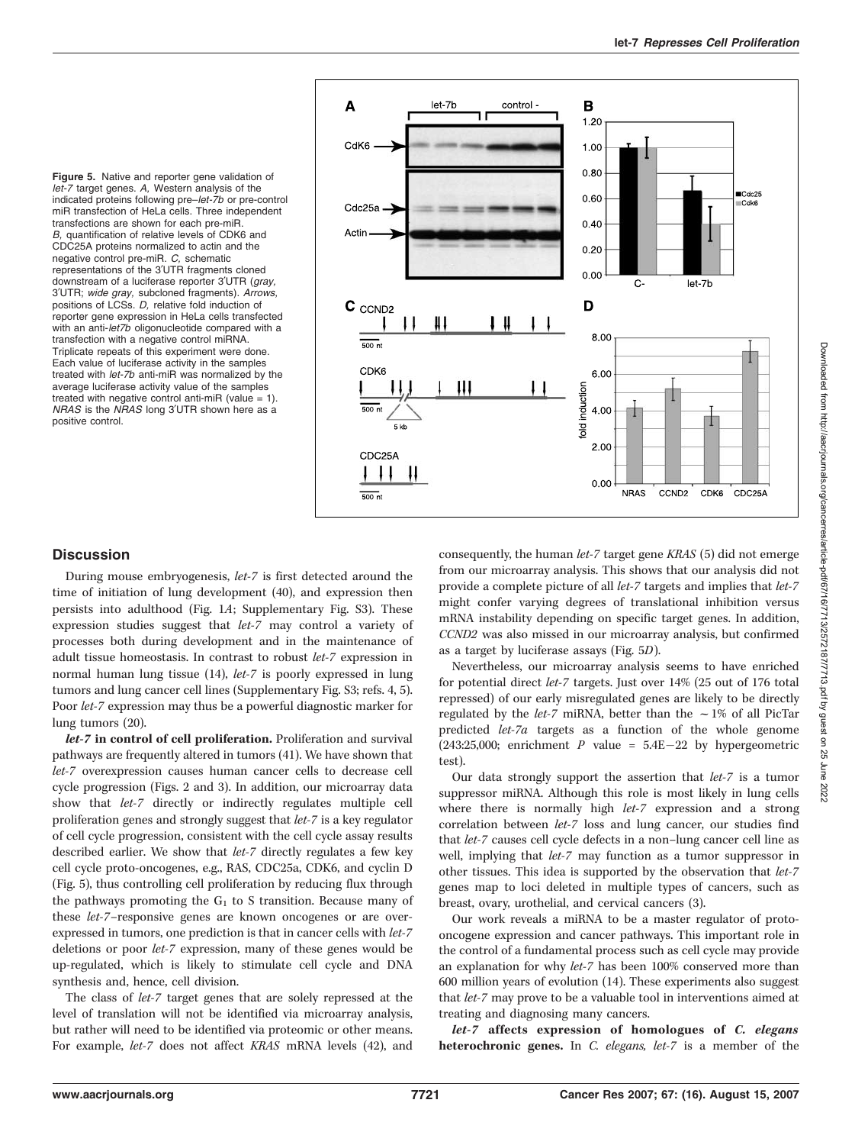Figure 5. Native and reporter gene validation of let-7 target genes. A. Western analysis of the indicated proteins following pre–let-7b or pre-control miR transfection of HeLa cells. Three independent transfections are shown for each pre-miR. B, quantification of relative levels of CDK6 and CDC25A proteins normalized to actin and the negative control pre-miR. C, schematic representations of the 3'UTR fragments cloned downstream of a luciferase reporter 3'UTR (gray, 3'UTR; wide gray, subcloned fragments). Arrows, positions of LCSs. D, relative fold induction of reporter gene expression in HeLa cells transfected with an anti-let7b oligonucleotide compared with a transfection with a negative control miRNA. Triplicate repeats of this experiment were done. Each value of luciferase activity in the samples treated with let-7b anti-miR was normalized by the average luciferase activity value of the samples treated with negative control anti-miR (value  $= 1$ ). NRAS is the NRAS long 3'UTR shown here as a positive control.



## **Discussion**

During mouse embryogenesis, *let-7* is first detected around the time of initiation of lung development (40), and expression then persists into adulthood (Fig. 1A; Supplementary Fig. S3). These expression studies suggest that let-7 may control a variety of processes both during development and in the maintenance of adult tissue homeostasis. In contrast to robust let-7 expression in normal human lung tissue (14), let-7 is poorly expressed in lung tumors and lung cancer cell lines (Supplementary Fig. S3; refs. 4, 5). Poor let-7 expression may thus be a powerful diagnostic marker for lung tumors (20).

let-7 in control of cell proliferation. Proliferation and survival pathways are frequently altered in tumors (41). We have shown that let-7 overexpression causes human cancer cells to decrease cell cycle progression (Figs. 2 and 3). In addition, our microarray data show that let-7 directly or indirectly regulates multiple cell proliferation genes and strongly suggest that let-7 is a key regulator of cell cycle progression, consistent with the cell cycle assay results described earlier. We show that let-7 directly regulates a few key cell cycle proto-oncogenes, e.g., RAS, CDC25a, CDK6, and cyclin D (Fig. 5), thus controlling cell proliferation by reducing flux through the pathways promoting the  $G_1$  to S transition. Because many of these let-7–responsive genes are known oncogenes or are overexpressed in tumors, one prediction is that in cancer cells with let-7 deletions or poor let-7 expression, many of these genes would be up-regulated, which is likely to stimulate cell cycle and DNA synthesis and, hence, cell division.

The class of let-7 target genes that are solely repressed at the level of translation will not be identified via microarray analysis, but rather will need to be identified via proteomic or other means. For example, let-7 does not affect KRAS mRNA levels (42), and consequently, the human let-7 target gene KRAS (5) did not emerge from our microarray analysis. This shows that our analysis did not provide a complete picture of all let-7 targets and implies that let-7 might confer varying degrees of translational inhibition versus mRNA instability depending on specific target genes. In addition, CCND2 was also missed in our microarray analysis, but confirmed as a target by luciferase assays (Fig. 5D).

Nevertheless, our microarray analysis seems to have enriched for potential direct let-7 targets. Just over 14% (25 out of 176 total repressed) of our early misregulated genes are likely to be directly regulated by the *let-7* miRNA, better than the  $\sim$  1% of all PicTar predicted let-7a targets as a function of the whole genome (243:25,000; enrichment  $P$  value = 5.4E-22 by hypergeometric test).

Our data strongly support the assertion that let-7 is a tumor suppressor miRNA. Although this role is most likely in lung cells where there is normally high *let-7* expression and a strong correlation between let-7 loss and lung cancer, our studies find that let-7 causes cell cycle defects in a non–lung cancer cell line as well, implying that let-7 may function as a tumor suppressor in other tissues. This idea is supported by the observation that let-7 genes map to loci deleted in multiple types of cancers, such as breast, ovary, urothelial, and cervical cancers (3).

Our work reveals a miRNA to be a master regulator of protooncogene expression and cancer pathways. This important role in the control of a fundamental process such as cell cycle may provide an explanation for why let-7 has been 100% conserved more than 600 million years of evolution (14). These experiments also suggest that let-7 may prove to be a valuable tool in interventions aimed at treating and diagnosing many cancers.

let-7 affects expression of homologues of C. elegans heterochronic genes. In C. elegans, let-7 is a member of the